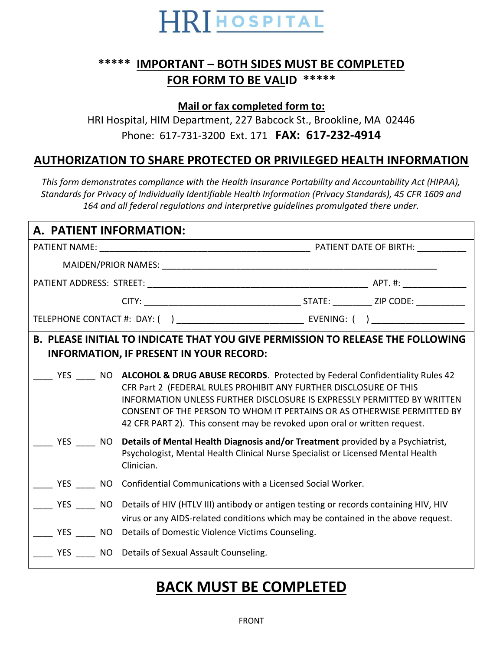

## **\*\*\*\*\* IMPORTANT – BOTH SIDES MUST BE COMPLETED FOR FORM TO BE VALID \*\*\*\*\***

**Mail or fax completed form to:**

HRI Hospital, HIM Department, 227 Babcock St., Brookline, MA 02446 Phone: 617-731-3200 Ext. 171 **FAX: 617-232-4914**

## **AUTHORIZATION TO SHARE PROTECTED OR PRIVILEGED HEALTH INFORMATION**

*This form demonstrates compliance with the Health Insurance Portability and Accountability Act (HIPAA), Standards for Privacy of Individually Identifiable Health Information (Privacy Standards), 45 CFR 1609 and 164 and all federal regulations and interpretive guidelines promulgated there under.*

| A. PATIENT INFORMATION:                                                                                                                  |                                                                                                                                                                                                                                                                                                                                                                                           |  |  |  |
|------------------------------------------------------------------------------------------------------------------------------------------|-------------------------------------------------------------------------------------------------------------------------------------------------------------------------------------------------------------------------------------------------------------------------------------------------------------------------------------------------------------------------------------------|--|--|--|
|                                                                                                                                          |                                                                                                                                                                                                                                                                                                                                                                                           |  |  |  |
|                                                                                                                                          |                                                                                                                                                                                                                                                                                                                                                                                           |  |  |  |
|                                                                                                                                          |                                                                                                                                                                                                                                                                                                                                                                                           |  |  |  |
|                                                                                                                                          |                                                                                                                                                                                                                                                                                                                                                                                           |  |  |  |
|                                                                                                                                          |                                                                                                                                                                                                                                                                                                                                                                                           |  |  |  |
| <b>B. PLEASE INITIAL TO INDICATE THAT YOU GIVE PERMISSION TO RELEASE THE FOLLOWING</b><br><b>INFORMATION, IF PRESENT IN YOUR RECORD:</b> |                                                                                                                                                                                                                                                                                                                                                                                           |  |  |  |
|                                                                                                                                          | YES NO ALCOHOL & DRUG ABUSE RECORDS. Protected by Federal Confidentiality Rules 42<br>CFR Part 2 (FEDERAL RULES PROHIBIT ANY FURTHER DISCLOSURE OF THIS<br>INFORMATION UNLESS FURTHER DISCLOSURE IS EXPRESSLY PERMITTED BY WRITTEN<br>CONSENT OF THE PERSON TO WHOM IT PERTAINS OR AS OTHERWISE PERMITTED BY<br>42 CFR PART 2). This consent may be revoked upon oral or written request. |  |  |  |
|                                                                                                                                          | YES NO Details of Mental Health Diagnosis and/or Treatment provided by a Psychiatrist,<br>Psychologist, Mental Health Clinical Nurse Specialist or Licensed Mental Health<br>Clinician.                                                                                                                                                                                                   |  |  |  |
|                                                                                                                                          | ___ YES _____ NO Confidential Communications with a Licensed Social Worker.                                                                                                                                                                                                                                                                                                               |  |  |  |
|                                                                                                                                          | YES NO Details of HIV (HTLV III) antibody or antigen testing or records containing HIV, HIV<br>virus or any AIDS-related conditions which may be contained in the above request.<br>YES MO Details of Domestic Violence Victims Counseling.                                                                                                                                               |  |  |  |
|                                                                                                                                          | YES NO Details of Sexual Assault Counseling.                                                                                                                                                                                                                                                                                                                                              |  |  |  |

## **BACK MUST BE COMPLETED**